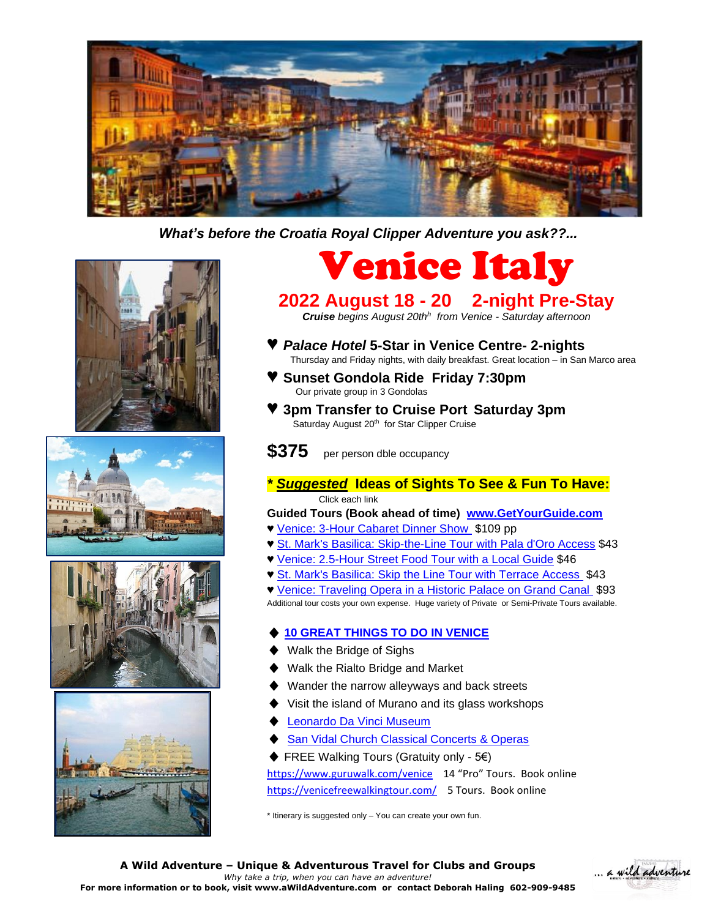

 *What's before the Croatia Royal Clipper Adventure you ask??...*









Venice Italy

## **2022 August 18 - 20 2-night Pre-Stay**

*Cruise begins August 20th<sup>h</sup> from Venice - Saturday afternoon*

- ♥ *Palace Hotel* **5-Star in Venice Centre- 2-nights** Thursday and Friday nights, with daily breakfast. Great location – in San Marco area
	- ♥ **Sunset Gondola Ride Friday 7:30pm**  Our private group in 3 Gondolas
- ♥ **3pm Transfer to Cruise Port Saturday 3pm Saturday August 20<sup>th</sup> for Star Clipper Cruise**
- **\$375** per person dble occupancy
- *\* Suggested* **Ideas of Sights To See & Fun To Have:** Click each link
- **Guided Tours (Book ahead of time) [www.GetYourGuide.com](http://www.getyourguide.com/)**
- ♥ [Venice: 3-Hour Cabaret Dinner Show](https://www.getyourguide.com/venice-l35/venice-3-hour-first-cabaret-dinner-show-t102665/) \$109 pp
- ♥ [St. Mark's Basilica: Skip-the-Line Tour with Pala d'Oro Access](https://www.getyourguide.com/venice-l35/st-mark-s-basilica-skip-the-line-tour-with-pala-d-oro-access-t397219/) \$43
- ♥ [Venice: 2.5-Hour Street Food Tour with a Local Guide](https://www.getyourguide.com/venice-l35/venice-street-food-tour-with-local-guide-t87869/) \$46
- ♥ [St. Mark's Basilica: Skip the Line Tour with Terrace Access](https://www.getyourguide.com/venice-l35/st-mark-s-basilica-tour-with-terrace-access-t397222/) \$43

♥ [Venice: Traveling Opera in a Historic Palace on Grand Canal](https://www.getyourguide.com/venice-l35/venice-italian-opera-in-historic-building-on-grand-canal-t262857/) \$93 Additional tour costs your own expense. Huge variety of Private or Semi-Private Tours available.

## **[10 GREAT THINGS TO DO IN VENICE](https://www.jmwalkingtour.org/things-to-do-in-venice.php?gclid=Cj0KCQjwl7qSBhD-ARIsACvV1X3zsAv4oIb4LAYb__JtAb1ph2GhPQGsLFL3WoUDLdWiWH71uOEW3KkaAlnIEALw_wcB)**

- Walk the Bridge of Sighs
- Walk the Rialto Bridge and Market
- Wander the narrow alleyways and back streets
- Visit the island of Murano and its glass workshops
- **[Leonardo Da Vinci Museum](http://www.museumsinflorence.com/musei/Leonardo-museum.html)**
- **San Vidal Church [Classical Concerts & Operas](https://www.musicinvenice.com/group_event.php?chiave=&filtro=1&dal=08/17/2022)**
- ♦ FREE Walking Tours (Gratuity only 5€) <https://www.guruwalk.com/venice>14 "Pro" Tours. Book online <https://venicefreewalkingtour.com/>5 Tours. Book online

\* Itinerary is suggested only – You can create your own fun.